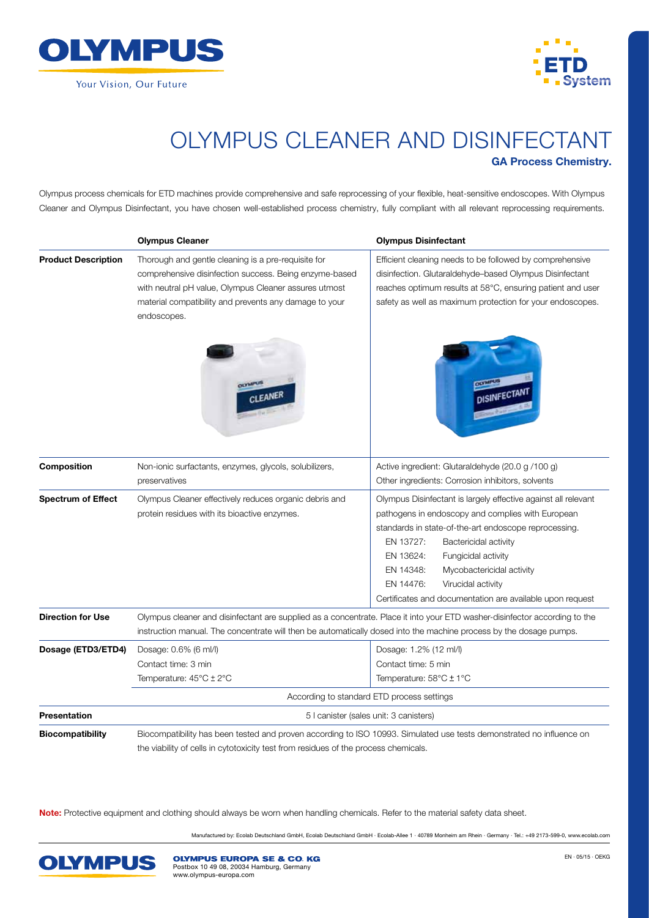



## OLYMPUS CLEANER AND DISINFECTANT GA Process Chemistry.

Olympus process chemicals for ETD machines provide comprehensive and safe reprocessing of your flexible, heat-sensitive endoscopes. With Olympus Cleaner and Olympus Disinfectant, you have chosen well-established process chemistry, fully compliant with all relevant reprocessing requirements.

|                            | <b>Olympus Cleaner</b>                                                                                                                                                                                                                           | <b>Olympus Disinfectant</b>                                                                                                                                                                                                                                                                                                                                                                      |  |
|----------------------------|--------------------------------------------------------------------------------------------------------------------------------------------------------------------------------------------------------------------------------------------------|--------------------------------------------------------------------------------------------------------------------------------------------------------------------------------------------------------------------------------------------------------------------------------------------------------------------------------------------------------------------------------------------------|--|
| <b>Product Description</b> | Thorough and gentle cleaning is a pre-requisite for<br>comprehensive disinfection success. Being enzyme-based<br>with neutral pH value, Olympus Cleaner assures utmost<br>material compatibility and prevents any damage to your<br>endoscopes.  | Efficient cleaning needs to be followed by comprehensive<br>disinfection. Glutaraldehyde-based Olympus Disinfectant<br>reaches optimum results at 58°C, ensuring patient and user<br>safety as well as maximum protection for your endoscopes.                                                                                                                                                   |  |
|                            | <b>DEVAIPLES</b>                                                                                                                                                                                                                                 |                                                                                                                                                                                                                                                                                                                                                                                                  |  |
| Composition                | Non-ionic surfactants, enzymes, glycols, solubilizers,                                                                                                                                                                                           | Active ingredient: Glutaraldehyde (20.0 g /100 g)                                                                                                                                                                                                                                                                                                                                                |  |
|                            | preservatives                                                                                                                                                                                                                                    | Other ingredients: Corrosion inhibitors, solvents                                                                                                                                                                                                                                                                                                                                                |  |
| <b>Spectrum of Effect</b>  | Olympus Cleaner effectively reduces organic debris and<br>protein residues with its bioactive enzymes.                                                                                                                                           | Olympus Disinfectant is largely effective against all relevant<br>pathogens in endoscopy and complies with European<br>standards in state-of-the-art endoscope reprocessing.<br>EN 13727:<br>Bactericidal activity<br>EN 13624:<br>Fungicidal activity<br>Mycobactericidal activity<br>EN 14348:<br>EN 14476:<br>Virucidal activity<br>Certificates and documentation are available upon request |  |
| <b>Direction for Use</b>   | Olympus cleaner and disinfectant are supplied as a concentrate. Place it into your ETD washer-disinfector according to the<br>instruction manual. The concentrate will then be automatically dosed into the machine process by the dosage pumps. |                                                                                                                                                                                                                                                                                                                                                                                                  |  |
| Dosage (ETD3/ETD4)         | Dosage: 0.6% (6 ml/l)<br>Contact time: 3 min<br>Temperature: $45^{\circ}$ C $\pm$ 2 $^{\circ}$ C                                                                                                                                                 | Dosage: 1.2% (12 ml/l)<br>Contact time: 5 min<br>Temperature: $58^{\circ}$ C $\pm$ 1 $^{\circ}$ C                                                                                                                                                                                                                                                                                                |  |
|                            | According to standard ETD process settings                                                                                                                                                                                                       |                                                                                                                                                                                                                                                                                                                                                                                                  |  |
| <b>Presentation</b>        | 5 I canister (sales unit: 3 canisters)                                                                                                                                                                                                           |                                                                                                                                                                                                                                                                                                                                                                                                  |  |
| <b>Biocompatibility</b>    | Biocompatibility has been tested and proven according to ISO 10993. Simulated use tests demonstrated no influence on<br>the viability of cells in cytotoxicity test from residues of the process chemicals.                                      |                                                                                                                                                                                                                                                                                                                                                                                                  |  |

Note: Protective equipment and clothing should always be worn when handling chemicals. Refer to the material safety data sheet.

Manufactured by: Ecolab Deutschland GmbH, Ecolab Deutschland GmbH · Ecolab-Allee 1 · 40789 Monheim am Rhein · Germany · Tel.: +49 2173-599-0, www.ecolab.com



**OLYMPUS EUROPA SE & CO. KG** Postbox 10 49 08, 20034 Hamburg, Germany www.olympus-europa.com